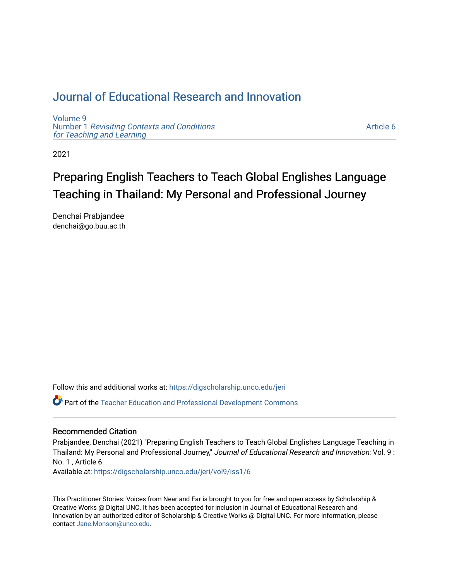# [Journal of Educational Research and Innovation](https://digscholarship.unco.edu/jeri)

[Volume 9](https://digscholarship.unco.edu/jeri/vol9) Number 1 [Revisiting Contexts and Conditions](https://digscholarship.unco.edu/jeri/vol9/iss1)  [for Teaching and Learning](https://digscholarship.unco.edu/jeri/vol9/iss1)

[Article 6](https://digscholarship.unco.edu/jeri/vol9/iss1/6) 

2021

# Preparing English Teachers to Teach Global Englishes Language Teaching in Thailand: My Personal and Professional Journey

Denchai Prabjandee denchai@go.buu.ac.th

Follow this and additional works at: [https://digscholarship.unco.edu/jeri](https://digscholarship.unco.edu/jeri?utm_source=digscholarship.unco.edu%2Fjeri%2Fvol9%2Fiss1%2F6&utm_medium=PDF&utm_campaign=PDFCoverPages) 

Part of the [Teacher Education and Professional Development Commons](http://network.bepress.com/hgg/discipline/803?utm_source=digscholarship.unco.edu%2Fjeri%2Fvol9%2Fiss1%2F6&utm_medium=PDF&utm_campaign=PDFCoverPages) 

#### Recommended Citation

Prabjandee, Denchai (2021) "Preparing English Teachers to Teach Global Englishes Language Teaching in Thailand: My Personal and Professional Journey," Journal of Educational Research and Innovation: Vol. 9: No. 1 , Article 6.

Available at: [https://digscholarship.unco.edu/jeri/vol9/iss1/6](https://digscholarship.unco.edu/jeri/vol9/iss1/6?utm_source=digscholarship.unco.edu%2Fjeri%2Fvol9%2Fiss1%2F6&utm_medium=PDF&utm_campaign=PDFCoverPages) 

This Practitioner Stories: Voices from Near and Far is brought to you for free and open access by Scholarship & Creative Works @ Digital UNC. It has been accepted for inclusion in Journal of Educational Research and Innovation by an authorized editor of Scholarship & Creative Works @ Digital UNC. For more information, please contact [Jane.Monson@unco.edu](mailto:Jane.Monson@unco.edu).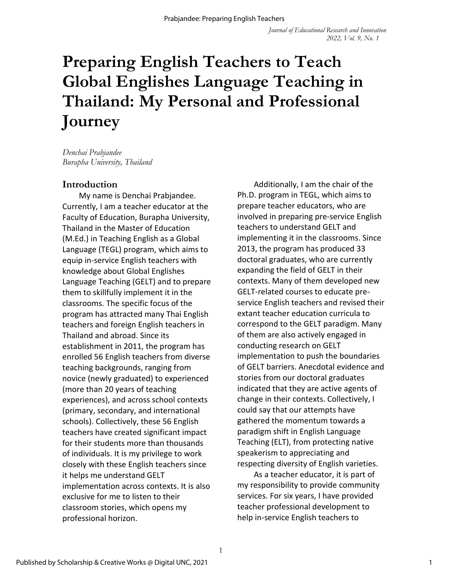# **Preparing English Teachers to Teach Global Englishes Language Teaching in Thailand: My Personal and Professional Journey**

*Denchai Prabjandee Burapha University, Thailand*

#### **Introduction**

My name is Denchai Prabjandee. Currently, I am a teacher educator at the Faculty of Education, Burapha University, Thailand in the Master of Education (M.Ed.) in Teaching English as a Global Language (TEGL) program, which aims to equip in-service English teachers with knowledge about Global Englishes Language Teaching (GELT) and to prepare them to skillfully implement it in the classrooms. The specific focus of the program has attracted many Thai English teachers and foreign English teachers in Thailand and abroad. Since its establishment in 2011, the program has enrolled 56 English teachers from diverse teaching backgrounds, ranging from novice (newly graduated) to experienced (more than 20 years of teaching experiences), and across school contexts (primary, secondary, and international schools). Collectively, these 56 English teachers have created significant impact for their students more than thousands of individuals. It is my privilege to work closely with these English teachers since it helps me understand GELT implementation across contexts. It is also exclusive for me to listen to their classroom stories, which opens my professional horizon.

Additionally, I am the chair of the Ph.D. program in TEGL, which aims to prepare teacher educators, who are involved in preparing pre-service English teachers to understand GELT and implementing it in the classrooms. Since 2013, the program has produced 33 doctoral graduates, who are currently expanding the field of GELT in their contexts. Many of them developed new GELT-related courses to educate preservice English teachers and revised their extant teacher education curricula to correspond to the GELT paradigm. Many of them are also actively engaged in conducting research on GELT implementation to push the boundaries of GELT barriers. Anecdotal evidence and stories from our doctoral graduates indicated that they are active agents of change in their contexts. Collectively, I could say that our attempts have gathered the momentum towards a paradigm shift in English Language Teaching (ELT), from protecting native speakerism to appreciating and respecting diversity of English varieties.

As a teacher educator, it is part of my responsibility to provide community services. For six years, I have provided teacher professional development to help in-service English teachers to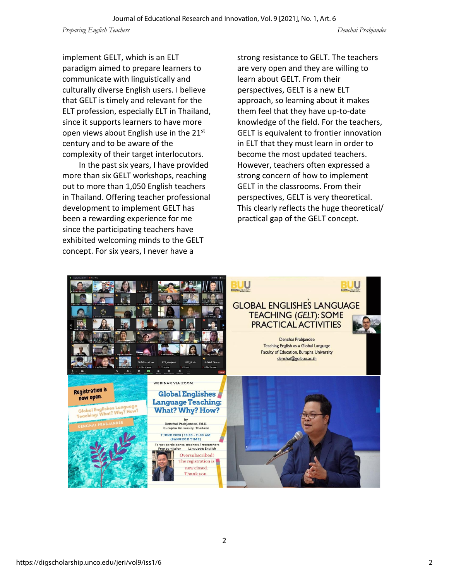implement GELT, which is an ELT paradigm aimed to prepare learners to communicate with linguistically and culturally diverse English users. I believe that GELT is timely and relevant for the ELT profession, especially ELT in Thailand, since it supports learners to have more open views about English use in the  $21^{st}$ century and to be aware of the complexity of their target interlocutors.

In the past six years, I have provided more than six GELT workshops, reaching out to more than 1,050 English teachers in Thailand. Offering teacher professional development to implement GELT has been a rewarding experience for me since the participating teachers have exhibited welcoming minds to the GELT concept. For six years, I never have a

strong resistance to GELT. The teachers are very open and they are willing to learn about GELT. From their perspectives, GELT is a new ELT approach, so learning about it makes them feel that they have up-to-date knowledge of the field. For the teachers, GELT is equivalent to frontier innovation in ELT that they must learn in order to become the most updated teachers. However, teachers often expressed a strong concern of how to implement GELT in the classrooms. From their perspectives, GELT is very theoretical. This clearly reflects the huge theoretical/ practical gap of the GELT concept.

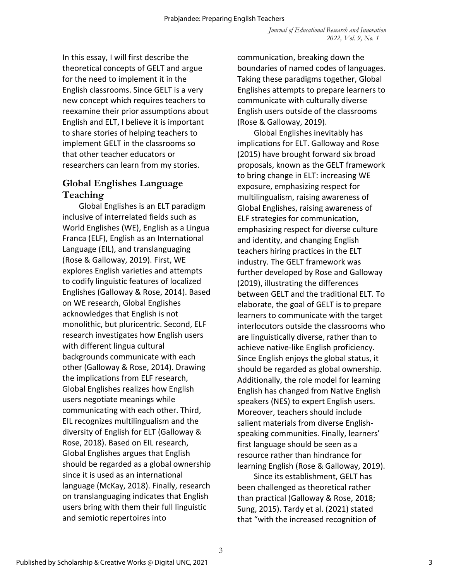In this essay, I will first describe the theoretical concepts of GELT and argue for the need to implement it in the English classrooms. Since GELT is a very new concept which requires teachers to reexamine their prior assumptions about English and ELT, I believe it is important to share stories of helping teachers to implement GELT in the classrooms so that other teacher educators or researchers can learn from my stories.

#### **Global Englishes Language Teaching**

Global Englishes is an ELT paradigm inclusive of interrelated fields such as World Englishes (WE), English as a Lingua Franca (ELF), English as an International Language (EIL), and translanguaging (Rose & Galloway, 2019). First, WE explores English varieties and attempts to codify linguistic features of localized Englishes (Galloway & Rose, 2014). Based on WE research, Global Englishes acknowledges that English is not monolithic, but pluricentric. Second, ELF research investigates how English users with different lingua cultural backgrounds communicate with each other (Galloway & Rose, 2014). Drawing the implications from ELF research, Global Englishes realizes how English users negotiate meanings while communicating with each other. Third, EIL recognizes multilingualism and the diversity of English for ELT (Galloway & Rose, 2018). Based on EIL research, Global Englishes argues that English should be regarded as a global ownership since it is used as an international language (McKay, 2018). Finally, research on translanguaging indicates that English users bring with them their full linguistic and semiotic repertoires into

communication, breaking down the boundaries of named codes of languages. Taking these paradigms together, Global Englishes attempts to prepare learners to communicate with culturally diverse English users outside of the classrooms (Rose & Galloway, 2019).

Global Englishes inevitably has implications for ELT. Galloway and Rose (2015) have brought forward six broad proposals, known as the GELT framework to bring change in ELT: increasing WE exposure, emphasizing respect for multilingualism, raising awareness of Global Englishes, raising awareness of ELF strategies for communication, emphasizing respect for diverse culture and identity, and changing English teachers hiring practices in the ELT industry. The GELT framework was further developed by Rose and Galloway (2019), illustrating the differences between GELT and the traditional ELT. To elaborate, the goal of GELT is to prepare learners to communicate with the target interlocutors outside the classrooms who are linguistically diverse, rather than to achieve native-like English proficiency. Since English enjoys the global status, it should be regarded as global ownership. Additionally, the role model for learning English has changed from Native English speakers (NES) to expert English users. Moreover, teachers should include salient materials from diverse Englishspeaking communities. Finally, learners' first language should be seen as a resource rather than hindrance for learning English (Rose & Galloway, 2019).

Since its establishment, GELT has been challenged as theoretical rather than practical (Galloway & Rose, 2018; Sung, 2015). Tardy et al. (2021) stated that "with the increased recognition of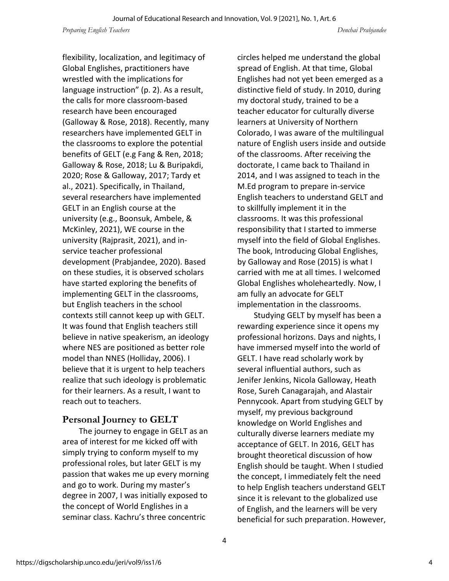flexibility, localization, and legitimacy of Global Englishes, practitioners have wrestled with the implications for language instruction" (p. 2). As a result, the calls for more classroom-based research have been encouraged (Galloway & Rose, 2018). Recently, many researchers have implemented GELT in the classrooms to explore the potential benefits of GELT (e.g Fang & Ren, 2018; Galloway & Rose, 2018; Lu & Buripakdi, 2020; Rose & Galloway, 2017; Tardy et al., 2021). Specifically, in Thailand, several researchers have implemented GELT in an English course at the university (e.g., Boonsuk, Ambele, & McKinley, 2021), WE course in the university (Rajprasit, 2021), and inservice teacher professional development (Prabjandee, 2020). Based on these studies, it is observed scholars have started exploring the benefits of implementing GELT in the classrooms, but English teachers in the school contexts still cannot keep up with GELT. It was found that English teachers still believe in native speakerism, an ideology where NES are positioned as better role model than NNES (Holliday, 2006). I believe that it is urgent to help teachers realize that such ideology is problematic for their learners. As a result, I want to reach out to teachers.

## **Personal Journey to GELT**

The journey to engage in GELT as an area of interest for me kicked off with simply trying to conform myself to my professional roles, but later GELT is my passion that wakes me up every morning and go to work. During my master's degree in 2007, I was initially exposed to the concept of World Englishes in a seminar class. Kachru's three concentric

circles helped me understand the global spread of English. At that time, Global Englishes had not yet been emerged as a distinctive field of study. In 2010, during my doctoral study, trained to be a teacher educator for culturally diverse learners at University of Northern Colorado, I was aware of the multilingual nature of English users inside and outside of the classrooms. After receiving the doctorate, I came back to Thailand in 2014, and I was assigned to teach in the M.Ed program to prepare in-service English teachers to understand GELT and to skillfully implement it in the classrooms. It was this professional responsibility that I started to immerse myself into the field of Global Englishes. The book, Introducing Global Englishes, by Galloway and Rose (2015) is what I carried with me at all times. I welcomed Global Englishes wholeheartedly. Now, I am fully an advocate for GELT implementation in the classrooms.

Studying GELT by myself has been a rewarding experience since it opens my professional horizons. Days and nights, I have immersed myself into the world of GELT. I have read scholarly work by several influential authors, such as Jenifer Jenkins, Nicola Galloway, Heath Rose, Sureh Canagarajah, and Alastair Pennycook. Apart from studying GELT by myself, my previous background knowledge on World Englishes and culturally diverse learners mediate my acceptance of GELT. In 2016, GELT has brought theoretical discussion of how English should be taught. When I studied the concept, I immediately felt the need to help English teachers understand GELT since it is relevant to the globalized use of English, and the learners will be very beneficial for such preparation. However,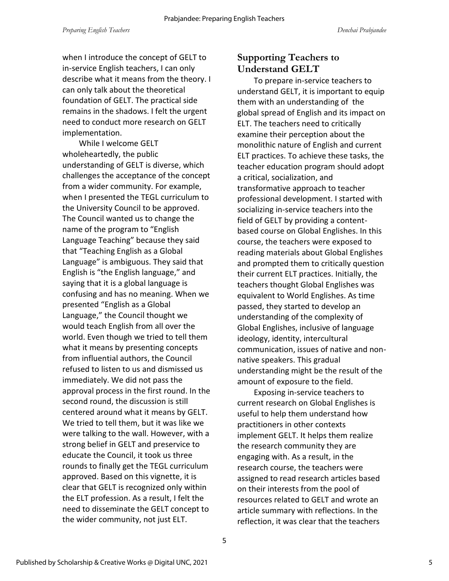when I introduce the concept of GELT to in-service English teachers, I can only describe what it means from the theory. I can only talk about the theoretical foundation of GELT. The practical side remains in the shadows. I felt the urgent need to conduct more research on GELT implementation.

While I welcome GELT wholeheartedly, the public understanding of GELT is diverse, which challenges the acceptance of the concept from a wider community. For example, when I presented the TEGL curriculum to the University Council to be approved. The Council wanted us to change the name of the program to "English Language Teaching" because they said that "Teaching English as a Global Language" is ambiguous. They said that English is "the English language," and saying that it is a global language is confusing and has no meaning. When we presented "English as a Global Language," the Council thought we would teach English from all over the world. Even though we tried to tell them what it means by presenting concepts from influential authors, the Council refused to listen to us and dismissed us immediately. We did not pass the approval process in the first round. In the second round, the discussion is still centered around what it means by GELT. We tried to tell them, but it was like we were talking to the wall. However, with a strong belief in GELT and preservice to educate the Council, it took us three rounds to finally get the TEGL curriculum approved. Based on this vignette, it is clear that GELT is recognized only within the ELT profession. As a result, I felt the need to disseminate the GELT concept to the wider community, not just ELT.

## **Supporting Teachers to Understand GELT**

To prepare in-service teachers to understand GELT, it is important to equip them with an understanding of the global spread of English and its impact on ELT. The teachers need to critically examine their perception about the monolithic nature of English and current ELT practices. To achieve these tasks, the teacher education program should adopt a critical, socialization, and transformative approach to teacher professional development. I started with socializing in-service teachers into the field of GELT by providing a contentbased course on Global Englishes. In this course, the teachers were exposed to reading materials about Global Englishes and prompted them to critically question their current ELT practices. Initially, the teachers thought Global Englishes was equivalent to World Englishes. As time passed, they started to develop an understanding of the complexity of Global Englishes, inclusive of language ideology, identity, intercultural communication, issues of native and nonnative speakers. This gradual understanding might be the result of the amount of exposure to the field.

Exposing in-service teachers to current research on Global Englishes is useful to help them understand how practitioners in other contexts implement GELT. It helps them realize the research community they are engaging with. As a result, in the research course, the teachers were assigned to read research articles based on their interests from the pool of resources related to GELT and wrote an article summary with reflections. In the reflection, it was clear that the teachers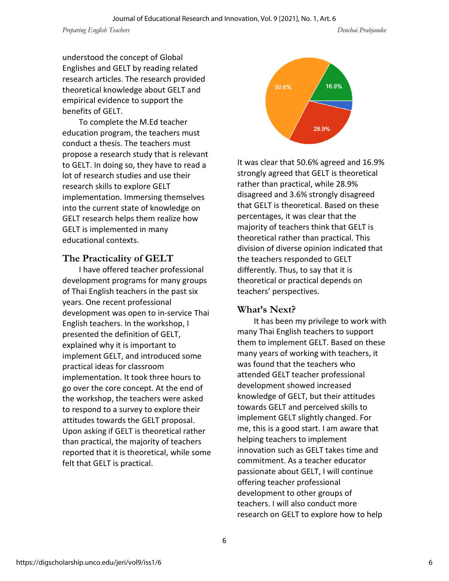*Preparing English Teachers Denchai Prabjandee*

understood the concept of Global Englishes and GELT by reading related research articles. The research provided theoretical knowledge about GELT and empirical evidence to support the benefits of GELT.

To complete the M.Ed teacher education program, the teachers must conduct a thesis. The teachers must propose a research study that is relevant to GELT. In doing so, they have to read a lot of research studies and use their research skills to explore GELT implementation. Immersing themselves into the current state of knowledge on GELT research helps them realize how GELT is implemented in many educational contexts.

#### **The Practicality of GELT**

I have offered teacher professional development programs for many groups of Thai English teachers in the past six years. One recent professional development was open to in-service Thai English teachers. In the workshop, I presented the definition of GELT, explained why it is important to implement GELT, and introduced some practical ideas for classroom implementation. It took three hours to go over the core concept. At the end of the workshop, the teachers were asked to respond to a survey to explore their attitudes towards the GELT proposal. Upon asking if GELT is theoretical rather than practical, the majority of teachers reported that it is theoretical, while some felt that GELT is practical.



It was clear that 50.6% agreed and 16.9% strongly agreed that GELT is theoretical rather than practical, while 28.9% disagreed and 3.6% strongly disagreed that GELT is theoretical. Based on these percentages, it was clear that the majority of teachers think that GELT is theoretical rather than practical. This division of diverse opinion indicated that the teachers responded to GELT differently. Thus, to say that it is theoretical or practical depends on teachers' perspectives.

#### **What's Next?**

It has been my privilege to work with many Thai English teachers to support them to implement GELT. Based on these many years of working with teachers, it was found that the teachers who attended GELT teacher professional development showed increased knowledge of GELT, but their attitudes towards GELT and perceived skills to implement GELT slightly changed. For me, this is a good start. I am aware that helping teachers to implement innovation such as GELT takes time and commitment. As a teacher educator passionate about GELT, I will continue offering teacher professional development to other groups of teachers. I will also conduct more research on GELT to explore how to help